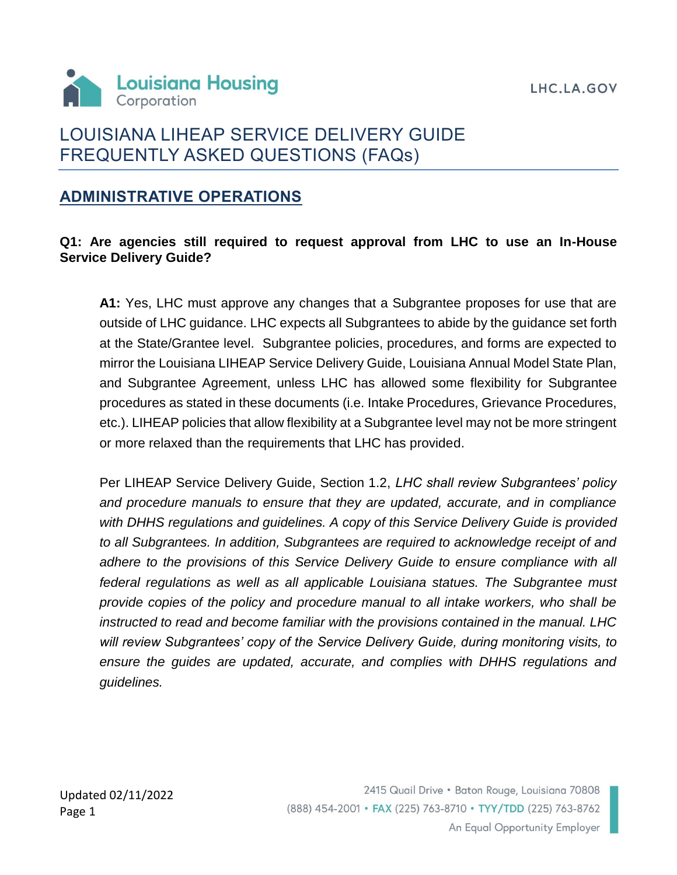LHC.LA.GOV



# LOUISIANA LIHEAP SERVICE DELIVERY GUIDE FREQUENTLY ASKED QUESTIONS (FAQs)

## **ADMINISTRATIVE OPERATIONS**

### **Q1: Are agencies still required to request approval from LHC to use an In-House Service Delivery Guide?**

**A1:** Yes, LHC must approve any changes that a Subgrantee proposes for use that are outside of LHC guidance. LHC expects all Subgrantees to abide by the guidance set forth at the State/Grantee level. Subgrantee policies, procedures, and forms are expected to mirror the Louisiana LIHEAP Service Delivery Guide, Louisiana Annual Model State Plan, and Subgrantee Agreement, unless LHC has allowed some flexibility for Subgrantee procedures as stated in these documents (i.e. Intake Procedures, Grievance Procedures, etc.). LIHEAP policies that allow flexibility at a Subgrantee level may not be more stringent or more relaxed than the requirements that LHC has provided.

Per LIHEAP Service Delivery Guide, Section 1.2, *LHC shall review Subgrantees' policy and procedure manuals to ensure that they are updated, accurate, and in compliance with DHHS regulations and guidelines. A copy of this Service Delivery Guide is provided to all Subgrantees. In addition, Subgrantees are required to acknowledge receipt of and adhere to the provisions of this Service Delivery Guide to ensure compliance with all federal regulations as well as all applicable Louisiana statues. The Subgrantee must provide copies of the policy and procedure manual to all intake workers, who shall be instructed to read and become familiar with the provisions contained in the manual. LHC will review Subgrantees' copy of the Service Delivery Guide, during monitoring visits, to ensure the guides are updated, accurate, and complies with DHHS regulations and guidelines.*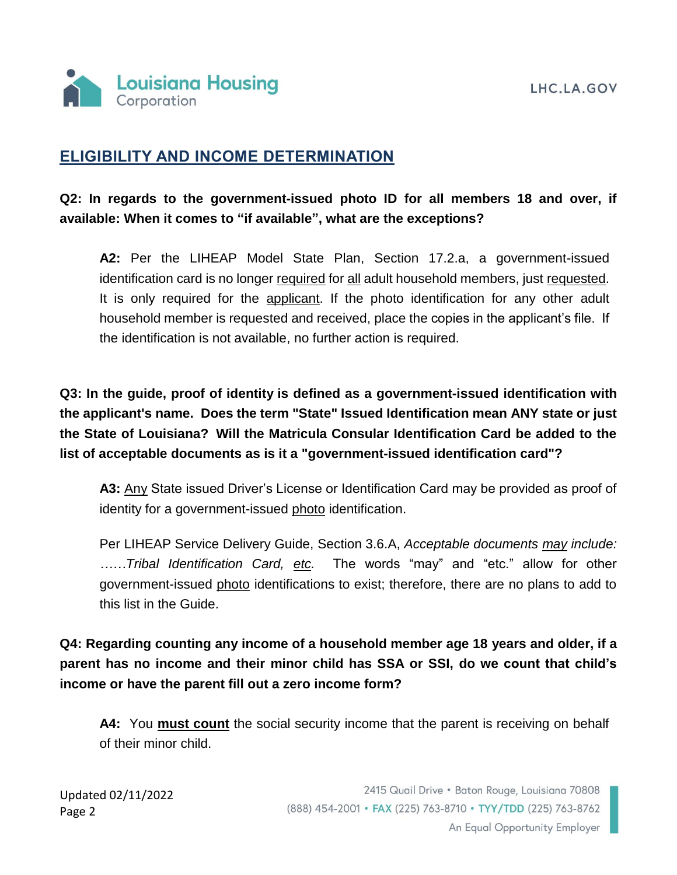

## **ELIGIBILITY AND INCOME DETERMINATION**

## **Q2: In regards to the government-issued photo ID for all members 18 and over, if available: When it comes to "if available", what are the exceptions?**

**A2:** Per the LIHEAP Model State Plan, Section 17.2.a, a government-issued identification card is no longer required for all adult household members, just requested. It is only required for the applicant. If the photo identification for any other adult household member is requested and received, place the copies in the applicant's file. If the identification is not available, no further action is required.

**Q3: In the guide, proof of identity is defined as a government-issued identification with the applicant's name. Does the term "State" Issued Identification mean ANY state or just the State of Louisiana? Will the Matricula Consular Identification Card be added to the list of acceptable documents as is it a "government-issued identification card"?**

**A3:** Any State issued Driver's License or Identification Card may be provided as proof of identity for a government-issued photo identification.

Per LIHEAP Service Delivery Guide, Section 3.6.A, *Acceptable documents may include: ……Tribal Identification Card, etc.* The words "may" and "etc." allow for other government-issued photo identifications to exist; therefore, there are no plans to add to this list in the Guide.

**Q4: Regarding counting any income of a household member age 18 years and older, if a parent has no income and their minor child has SSA or SSI, do we count that child's income or have the parent fill out a zero income form?**

**A4:** You **must count** the social security income that the parent is receiving on behalf of their minor child.

Updated 02/11/2022 Page 2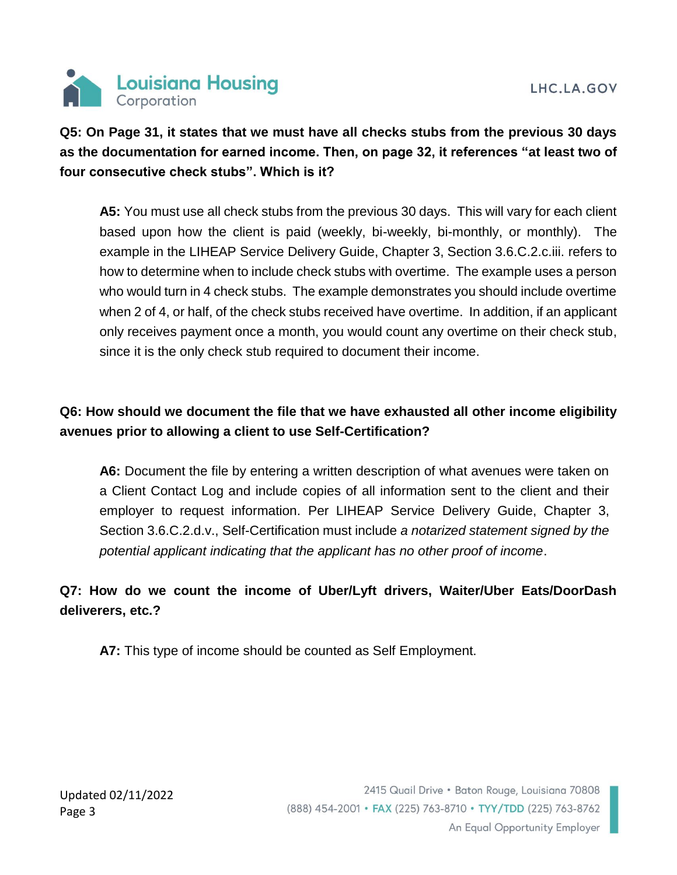

## **Q5: On Page 31, it states that we must have all checks stubs from the previous 30 days as the documentation for earned income. Then, on page 32, it references "at least two of four consecutive check stubs". Which is it?**

**A5:** You must use all check stubs from the previous 30 days. This will vary for each client based upon how the client is paid (weekly, bi-weekly, bi-monthly, or monthly). The example in the LIHEAP Service Delivery Guide, Chapter 3, Section 3.6.C.2.c.iii. refers to how to determine when to include check stubs with overtime. The example uses a person who would turn in 4 check stubs. The example demonstrates you should include overtime when 2 of 4, or half, of the check stubs received have overtime. In addition, if an applicant only receives payment once a month, you would count any overtime on their check stub, since it is the only check stub required to document their income.

## **Q6: How should we document the file that we have exhausted all other income eligibility avenues prior to allowing a client to use Self-Certification?**

**A6:** Document the file by entering a written description of what avenues were taken on a Client Contact Log and include copies of all information sent to the client and their employer to request information. Per LIHEAP Service Delivery Guide, Chapter 3, Section 3.6.C.2.d.v., Self-Certification must include *a notarized statement signed by the potential applicant indicating that the applicant has no other proof of income*.

## **Q7: How do we count the income of Uber/Lyft drivers, Waiter/Uber Eats/DoorDash deliverers, etc.?**

**A7:** This type of income should be counted as Self Employment.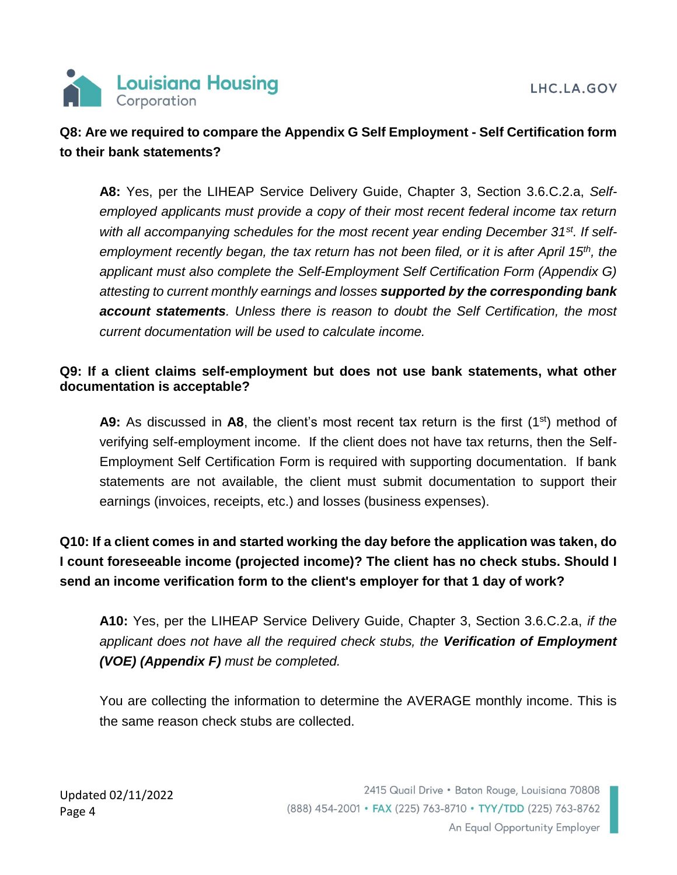

## **Q8: Are we required to compare the Appendix G Self Employment - Self Certification form to their bank statements?**

**A8:** Yes, per the LIHEAP Service Delivery Guide, Chapter 3, Section 3.6.C.2.a, *Selfemployed applicants must provide a copy of their most recent federal income tax return with all accompanying schedules for the most recent year ending December 31st. If selfemployment recently began, the tax return has not been filed, or it is after April 15th, the applicant must also complete the Self-Employment Self Certification Form (Appendix G) attesting to current monthly earnings and losses supported by the corresponding bank account statements. Unless there is reason to doubt the Self Certification, the most current documentation will be used to calculate income.*

### **Q9: If a client claims self-employment but does not use bank statements, what other documentation is acceptable?**

**A9:** As discussed in **A8**, the client's most recent tax return is the first (1<sup>st</sup>) method of verifying self-employment income. If the client does not have tax returns, then the Self-Employment Self Certification Form is required with supporting documentation. If bank statements are not available, the client must submit documentation to support their earnings (invoices, receipts, etc.) and losses (business expenses).

**Q10: If a client comes in and started working the day before the application was taken, do I count foreseeable income (projected income)? The client has no check stubs. Should I send an income verification form to the client's employer for that 1 day of work?**

**A10:** Yes, per the LIHEAP Service Delivery Guide, Chapter 3, Section 3.6.C.2.a, *if the applicant does not have all the required check stubs, the Verification of Employment (VOE) (Appendix F) must be completed.* 

You are collecting the information to determine the AVERAGE monthly income. This is the same reason check stubs are collected.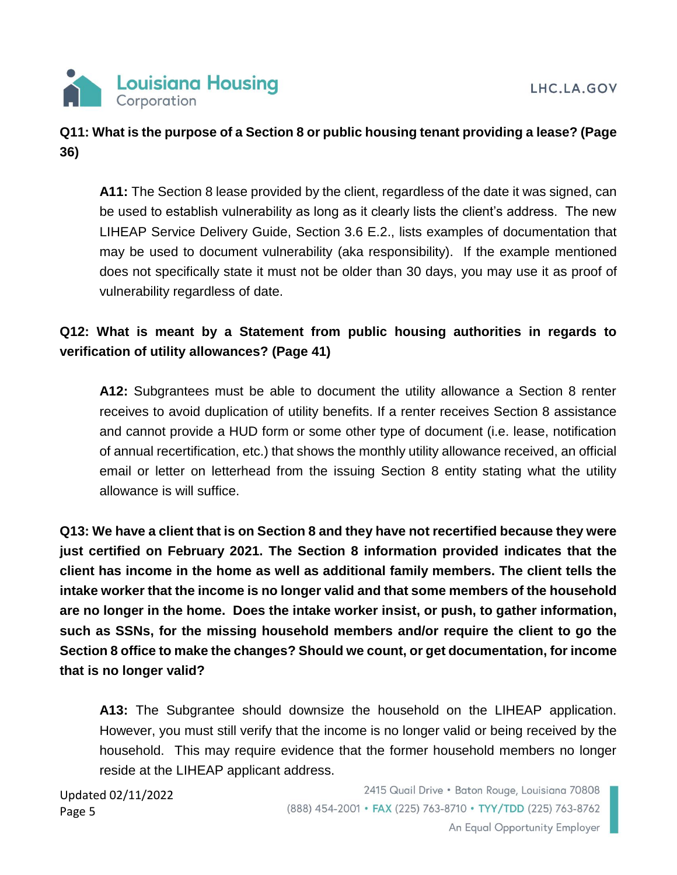## **Q11: What is the purpose of a Section 8 or public housing tenant providing a lease? (Page 36)**

**A11:** The Section 8 lease provided by the client, regardless of the date it was signed, can be used to establish vulnerability as long as it clearly lists the client's address. The new LIHEAP Service Delivery Guide, Section 3.6 E.2., lists examples of documentation that may be used to document vulnerability (aka responsibility). If the example mentioned does not specifically state it must not be older than 30 days, you may use it as proof of vulnerability regardless of date.

## **Q12: What is meant by a Statement from public housing authorities in regards to verification of utility allowances? (Page 41)**

**A12:** Subgrantees must be able to document the utility allowance a Section 8 renter receives to avoid duplication of utility benefits. If a renter receives Section 8 assistance and cannot provide a HUD form or some other type of document (i.e. lease, notification of annual recertification, etc.) that shows the monthly utility allowance received, an official email or letter on letterhead from the issuing Section 8 entity stating what the utility allowance is will suffice.

**Q13: We have a client that is on Section 8 and they have not recertified because they were just certified on February 2021. The Section 8 information provided indicates that the client has income in the home as well as additional family members. The client tells the intake worker that the income is no longer valid and that some members of the household are no longer in the home. Does the intake worker insist, or push, to gather information, such as SSNs, for the missing household members and/or require the client to go the Section 8 office to make the changes? Should we count, or get documentation, for income that is no longer valid?** 

**A13:** The Subgrantee should downsize the household on the LIHEAP application. However, you must still verify that the income is no longer valid or being received by the household. This may require evidence that the former household members no longer reside at the LIHEAP applicant address.

Updated 02/11/2022 Page 5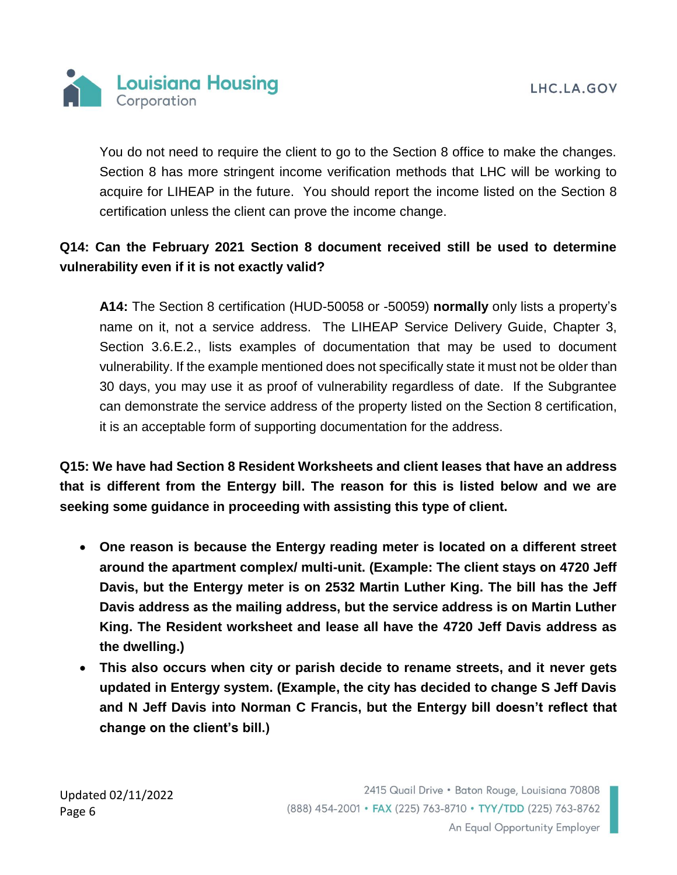

You do not need to require the client to go to the Section 8 office to make the changes. Section 8 has more stringent income verification methods that LHC will be working to acquire for LIHEAP in the future. You should report the income listed on the Section 8 certification unless the client can prove the income change.

## **Q14: Can the February 2021 Section 8 document received still be used to determine vulnerability even if it is not exactly valid?**

**A14:** The Section 8 certification (HUD-50058 or -50059) **normally** only lists a property's name on it, not a service address. The LIHEAP Service Delivery Guide, Chapter 3, Section 3.6.E.2., lists examples of documentation that may be used to document vulnerability. If the example mentioned does not specifically state it must not be older than 30 days, you may use it as proof of vulnerability regardless of date. If the Subgrantee can demonstrate the service address of the property listed on the Section 8 certification, it is an acceptable form of supporting documentation for the address.

**Q15: We have had Section 8 Resident Worksheets and client leases that have an address that is different from the Entergy bill. The reason for this is listed below and we are seeking some guidance in proceeding with assisting this type of client.** 

- **One reason is because the Entergy reading meter is located on a different street around the apartment complex/ multi-unit. (Example: The client stays on 4720 Jeff Davis, but the Entergy meter is on 2532 Martin Luther King. The bill has the Jeff Davis address as the mailing address, but the service address is on Martin Luther King. The Resident worksheet and lease all have the 4720 Jeff Davis address as the dwelling.)**
- **This also occurs when city or parish decide to rename streets, and it never gets updated in Entergy system. (Example, the city has decided to change S Jeff Davis and N Jeff Davis into Norman C Francis, but the Entergy bill doesn't reflect that change on the client's bill.)**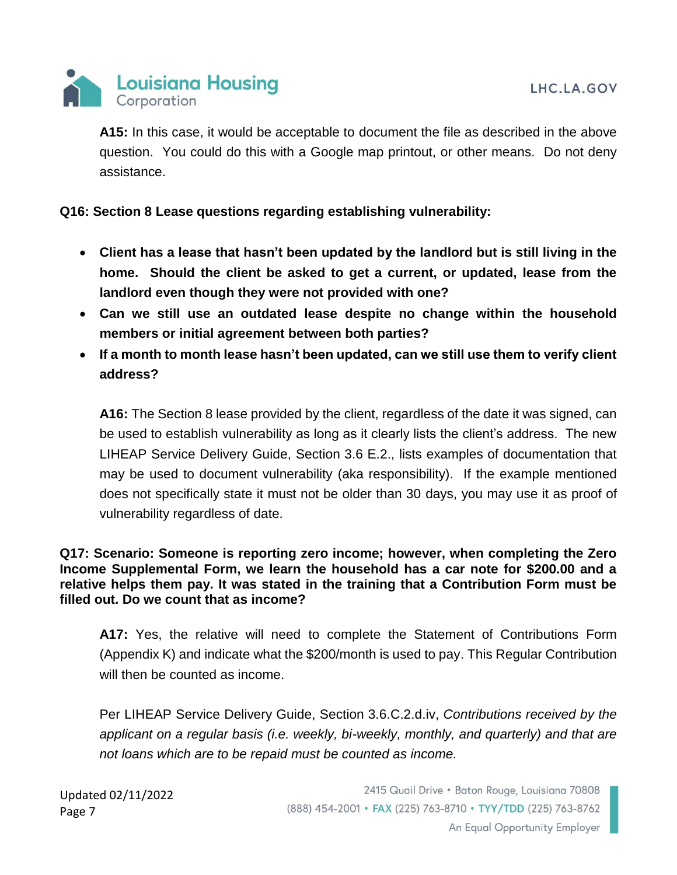

**A15:** In this case, it would be acceptable to document the file as described in the above question. You could do this with a Google map printout, or other means. Do not deny assistance.

### **Q16: Section 8 Lease questions regarding establishing vulnerability:**

- **Client has a lease that hasn't been updated by the landlord but is still living in the home. Should the client be asked to get a current, or updated, lease from the landlord even though they were not provided with one?**
- **Can we still use an outdated lease despite no change within the household members or initial agreement between both parties?**
- **If a month to month lease hasn't been updated, can we still use them to verify client address?**

**A16:** The Section 8 lease provided by the client, regardless of the date it was signed, can be used to establish vulnerability as long as it clearly lists the client's address. The new LIHEAP Service Delivery Guide, Section 3.6 E.2., lists examples of documentation that may be used to document vulnerability (aka responsibility). If the example mentioned does not specifically state it must not be older than 30 days, you may use it as proof of vulnerability regardless of date.

#### **Q17: Scenario: Someone is reporting zero income; however, when completing the Zero Income Supplemental Form, we learn the household has a car note for \$200.00 and a relative helps them pay. It was stated in the training that a Contribution Form must be filled out. Do we count that as income?**

**A17:** Yes, the relative will need to complete the Statement of Contributions Form (Appendix K) and indicate what the \$200/month is used to pay. This Regular Contribution will then be counted as income.

Per LIHEAP Service Delivery Guide, Section 3.6.C.2.d.iv, *Contributions received by the applicant on a regular basis (i.e. weekly, bi-weekly, monthly, and quarterly) and that are not loans which are to be repaid must be counted as income.* 

Updated 02/11/2022 Page 7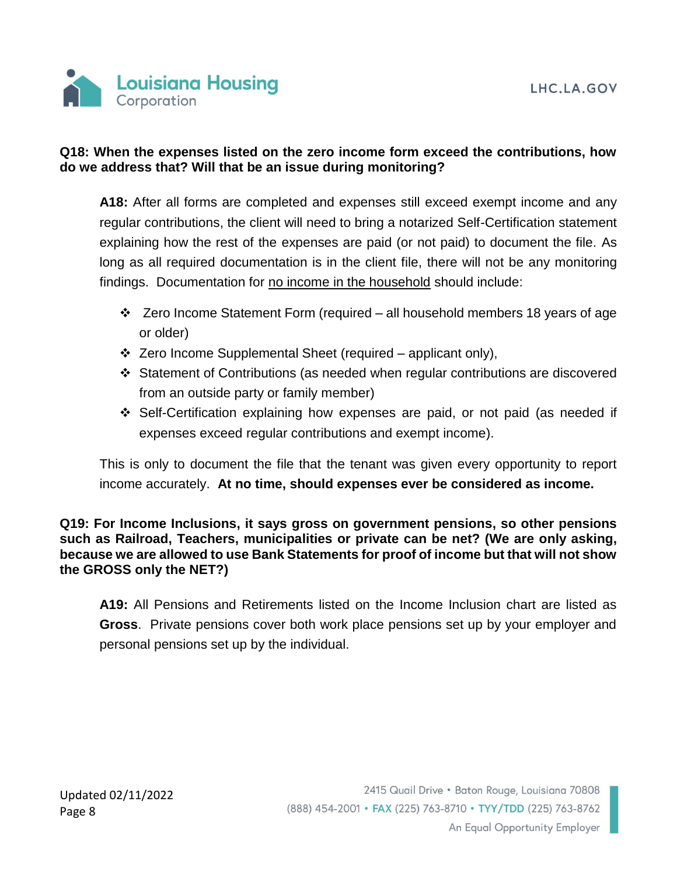

### **Q18: When the expenses listed on the zero income form exceed the contributions, how do we address that? Will that be an issue during monitoring?**

**A18:** After all forms are completed and expenses still exceed exempt income and any regular contributions, the client will need to bring a notarized Self-Certification statement explaining how the rest of the expenses are paid (or not paid) to document the file. As long as all required documentation is in the client file, there will not be any monitoring findings. Documentation for no income in the household should include:

- $\div$  Zero Income Statement Form (required all household members 18 years of age or older)
- $\div$  Zero Income Supplemental Sheet (required applicant only),
- Statement of Contributions (as needed when regular contributions are discovered from an outside party or family member)
- Self-Certification explaining how expenses are paid, or not paid (as needed if expenses exceed regular contributions and exempt income).

This is only to document the file that the tenant was given every opportunity to report income accurately. **At no time, should expenses ever be considered as income.**

**Q19: For Income Inclusions, it says gross on government pensions, so other pensions such as Railroad, Teachers, municipalities or private can be net? (We are only asking, because we are allowed to use Bank Statements for proof of income but that will not show the GROSS only the NET?)**

**A19:** All Pensions and Retirements listed on the Income Inclusion chart are listed as **Gross**. Private pensions cover both work place pensions set up by your employer and personal pensions set up by the individual.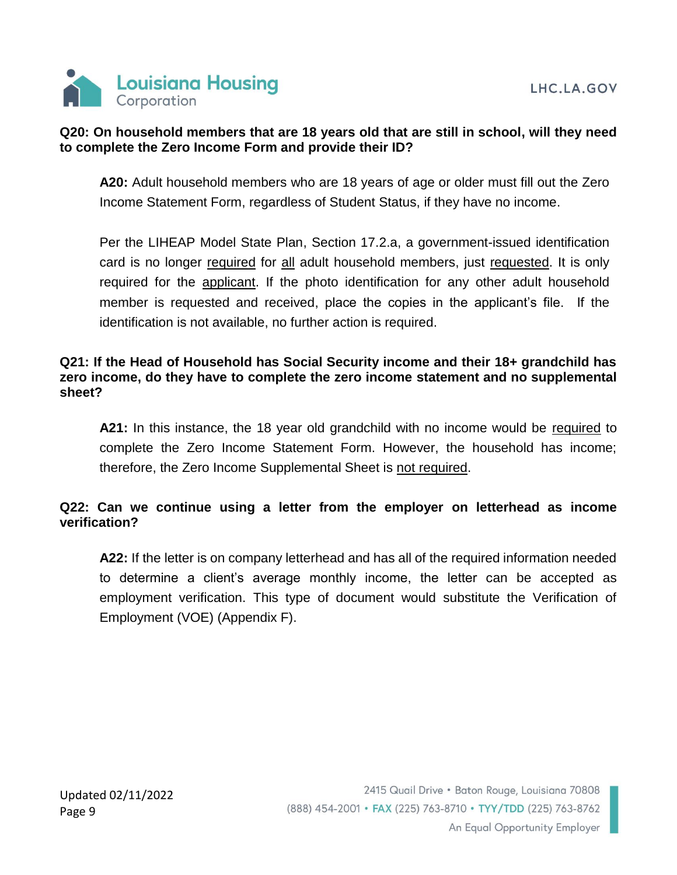

## **Q20: On household members that are 18 years old that are still in school, will they need to complete the Zero Income Form and provide their ID?**

**A20:** Adult household members who are 18 years of age or older must fill out the Zero Income Statement Form, regardless of Student Status, if they have no income.

Per the LIHEAP Model State Plan, Section 17.2.a, a government-issued identification card is no longer required for all adult household members, just requested. It is only required for the applicant. If the photo identification for any other adult household member is requested and received, place the copies in the applicant's file. If the identification is not available, no further action is required.

### **Q21: If the Head of Household has Social Security income and their 18+ grandchild has zero income, do they have to complete the zero income statement and no supplemental sheet?**

**A21:** In this instance, the 18 year old grandchild with no income would be required to complete the Zero Income Statement Form. However, the household has income; therefore, the Zero Income Supplemental Sheet is not required.

## **Q22: Can we continue using a letter from the employer on letterhead as income verification?**

**A22:** If the letter is on company letterhead and has all of the required information needed to determine a client's average monthly income, the letter can be accepted as employment verification. This type of document would substitute the Verification of Employment (VOE) (Appendix F).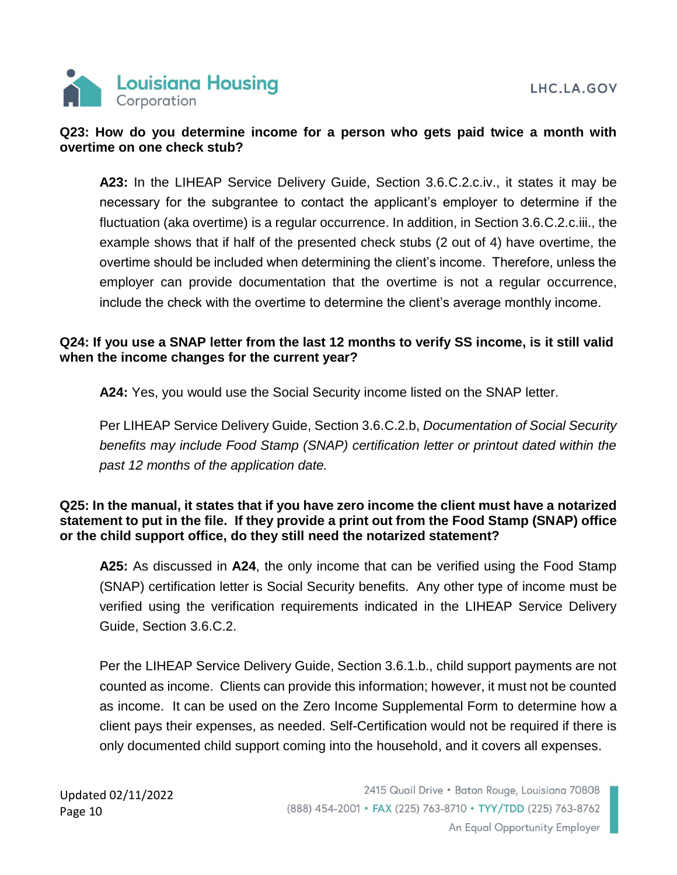

### **Q23: How do you determine income for a person who gets paid twice a month with overtime on one check stub?**

**A23:** In the LIHEAP Service Delivery Guide, Section 3.6.C.2.c.iv., it states it may be necessary for the subgrantee to contact the applicant's employer to determine if the fluctuation (aka overtime) is a regular occurrence. In addition, in Section 3.6.C.2.c.iii., the example shows that if half of the presented check stubs (2 out of 4) have overtime, the overtime should be included when determining the client's income. Therefore, unless the employer can provide documentation that the overtime is not a regular occurrence, include the check with the overtime to determine the client's average monthly income.

### **Q24: If you use a SNAP letter from the last 12 months to verify SS income, is it still valid when the income changes for the current year?**

**A24:** Yes, you would use the Social Security income listed on the SNAP letter.

Per LIHEAP Service Delivery Guide, Section 3.6.C.2.b, *Documentation of Social Security benefits may include Food Stamp (SNAP) certification letter or printout dated within the past 12 months of the application date.*

#### **Q25: In the manual, it states that if you have zero income the client must have a notarized statement to put in the file. If they provide a print out from the Food Stamp (SNAP) office or the child support office, do they still need the notarized statement?**

**A25:** As discussed in **A24**, the only income that can be verified using the Food Stamp (SNAP) certification letter is Social Security benefits. Any other type of income must be verified using the verification requirements indicated in the LIHEAP Service Delivery Guide, Section 3.6.C.2.

Per the LIHEAP Service Delivery Guide, Section 3.6.1.b., child support payments are not counted as income. Clients can provide this information; however, it must not be counted as income. It can be used on the Zero Income Supplemental Form to determine how a client pays their expenses, as needed. Self-Certification would not be required if there is only documented child support coming into the household, and it covers all expenses.

Updated 02/11/2022 Page 10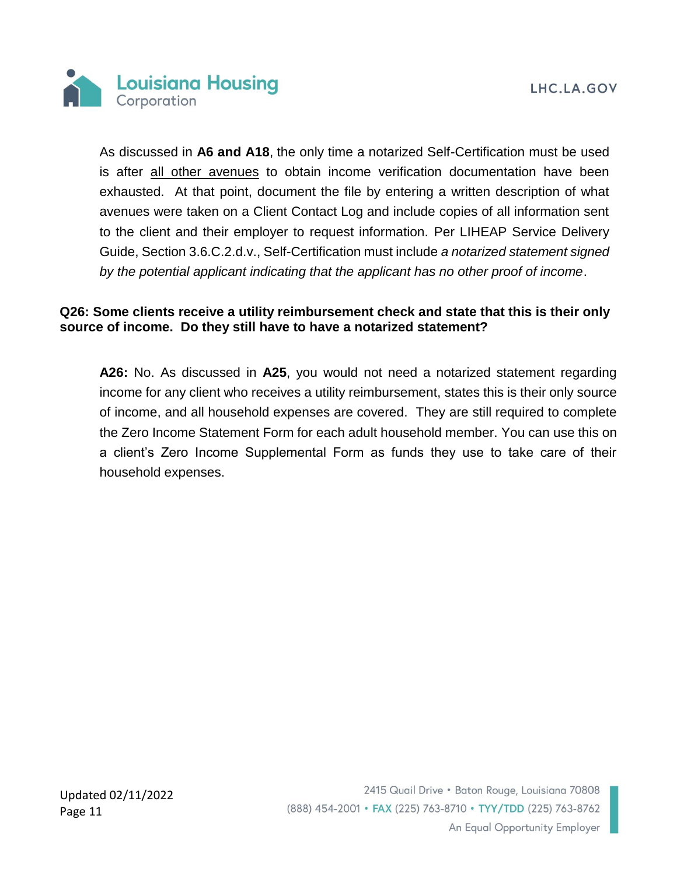

As discussed in **A6 and A18**, the only time a notarized Self-Certification must be used is after all other avenues to obtain income verification documentation have been exhausted. At that point, document the file by entering a written description of what avenues were taken on a Client Contact Log and include copies of all information sent to the client and their employer to request information. Per LIHEAP Service Delivery Guide, Section 3.6.C.2.d.v., Self-Certification must include *a notarized statement signed by the potential applicant indicating that the applicant has no other proof of income*.

### **Q26: Some clients receive a utility reimbursement check and state that this is their only source of income. Do they still have to have a notarized statement?**

**A26:** No. As discussed in **A25**, you would not need a notarized statement regarding income for any client who receives a utility reimbursement, states this is their only source of income, and all household expenses are covered. They are still required to complete the Zero Income Statement Form for each adult household member. You can use this on a client's Zero Income Supplemental Form as funds they use to take care of their household expenses.

Updated 02/11/2022 Page 11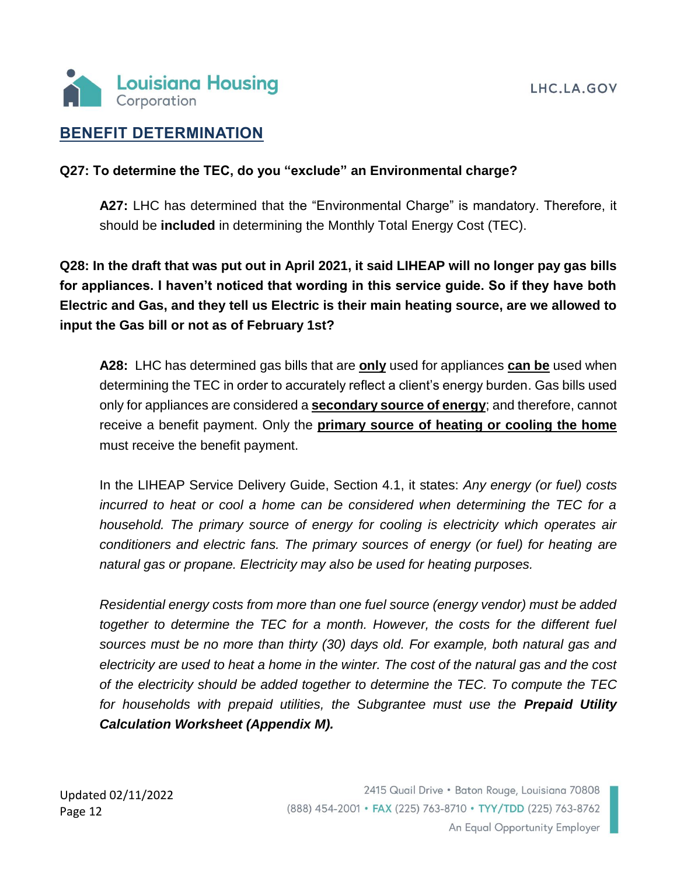

## **BENEFIT DETERMINATION**

### **Q27: To determine the TEC, do you "exclude" an Environmental charge?**

**A27:** LHC has determined that the "Environmental Charge" is mandatory. Therefore, it should be **included** in determining the Monthly Total Energy Cost (TEC).

**Q28: In the draft that was put out in April 2021, it said LIHEAP will no longer pay gas bills for appliances. I haven't noticed that wording in this service guide. So if they have both Electric and Gas, and they tell us Electric is their main heating source, are we allowed to input the Gas bill or not as of February 1st?**

**A28:** LHC has determined gas bills that are **only** used for appliances **can be** used when determining the TEC in order to accurately reflect a client's energy burden. Gas bills used only for appliances are considered a **secondary source of energy**; and therefore, cannot receive a benefit payment. Only the **primary source of heating or cooling the home** must receive the benefit payment.

In the LIHEAP Service Delivery Guide, Section 4.1, it states: *Any energy (or fuel) costs incurred to heat or cool a home can be considered when determining the TEC for a household. The primary source of energy for cooling is electricity which operates air conditioners and electric fans. The primary sources of energy (or fuel) for heating are natural gas or propane. Electricity may also be used for heating purposes.*

*Residential energy costs from more than one fuel source (energy vendor) must be added together to determine the TEC for a month. However, the costs for the different fuel sources must be no more than thirty (30) days old. For example, both natural gas and electricity are used to heat a home in the winter. The cost of the natural gas and the cost of the electricity should be added together to determine the TEC. To compute the TEC for households with prepaid utilities, the Subgrantee must use the Prepaid Utility Calculation Worksheet (Appendix M).*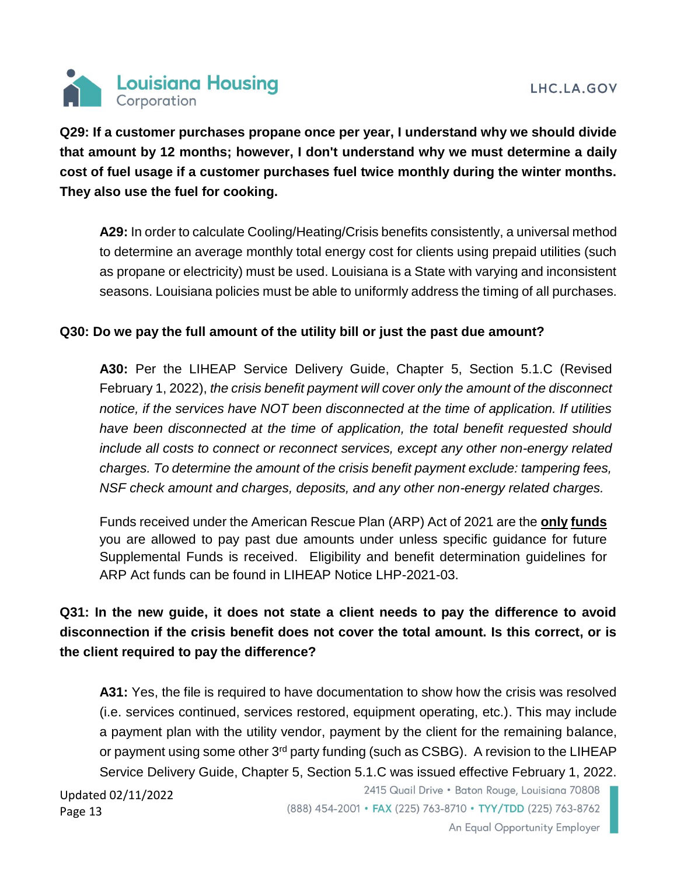

**Q29: If a customer purchases propane once per year, I understand why we should divide that amount by 12 months; however, I don't understand why we must determine a daily cost of fuel usage if a customer purchases fuel twice monthly during the winter months. They also use the fuel for cooking.** 

A29: In order to calculate Cooling/Heating/Crisis benefits consistently, a universal method to determine an average monthly total energy cost for clients using prepaid utilities (such as propane or electricity) must be used. Louisiana is a State with varying and inconsistent seasons. Louisiana policies must be able to uniformly address the timing of all purchases.

### **Q30: Do we pay the full amount of the utility bill or just the past due amount?**

**A30:** Per the LIHEAP Service Delivery Guide, Chapter 5, Section 5.1.C (Revised February 1, 2022), *the crisis benefit payment will cover only the amount of the disconnect notice, if the services have NOT been disconnected at the time of application. If utilities have been disconnected at the time of application, the total benefit requested should include all costs to connect or reconnect services, except any other non-energy related charges. To determine the amount of the crisis benefit payment exclude: tampering fees, NSF check amount and charges, deposits, and any other non-energy related charges.*

Funds received under the American Rescue Plan (ARP) Act of 2021 are the **only funds** you are allowed to pay past due amounts under unless specific guidance for future Supplemental Funds is received. Eligibility and benefit determination guidelines for ARP Act funds can be found in LIHEAP Notice LHP-2021-03.

## **Q31: In the new guide, it does not state a client needs to pay the difference to avoid disconnection if the crisis benefit does not cover the total amount. Is this correct, or is the client required to pay the difference?**

**A31:** Yes, the file is required to have documentation to show how the crisis was resolved (i.e. services continued, services restored, equipment operating, etc.). This may include a payment plan with the utility vendor, payment by the client for the remaining balance, or payment using some other  $3<sup>rd</sup>$  party funding (such as CSBG). A revision to the LIHEAP Service Delivery Guide, Chapter 5, Section 5.1.C was issued effective February 1, 2022.

Updated 02/11/2022 Page 13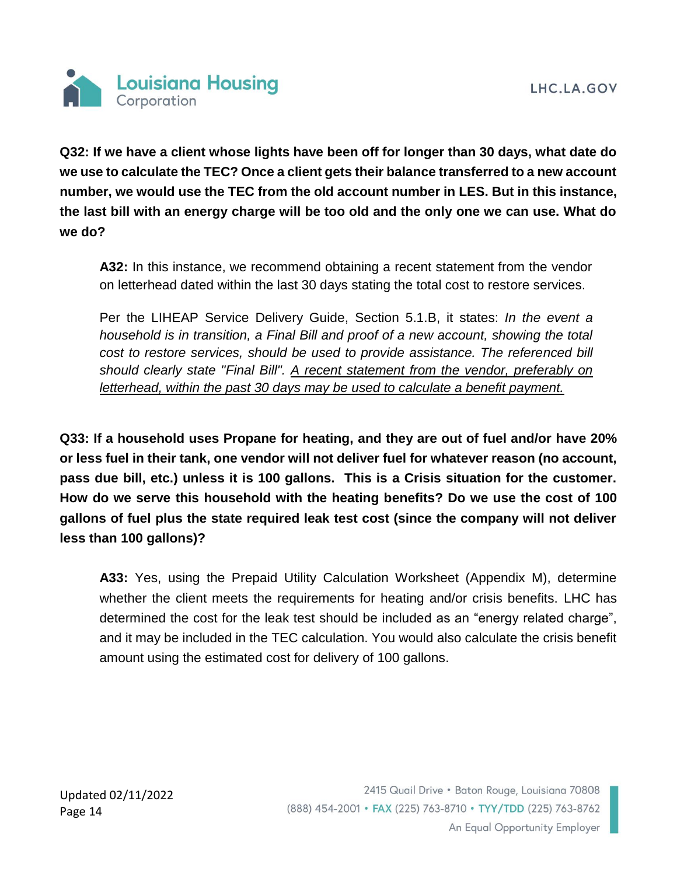

**Q32: If we have a client whose lights have been off for longer than 30 days, what date do we use to calculate the TEC? Once a client gets their balance transferred to a new account number, we would use the TEC from the old account number in LES. But in this instance, the last bill with an energy charge will be too old and the only one we can use. What do we do?**

**A32:** In this instance, we recommend obtaining a recent statement from the vendor on letterhead dated within the last 30 days stating the total cost to restore services.

Per the LIHEAP Service Delivery Guide, Section 5.1.B, it states: *In the event a household is in transition, a Final Bill and proof of a new account, showing the total cost to restore services, should be used to provide assistance. The referenced bill should clearly state "Final Bill". A recent statement from the vendor, preferably on letterhead, within the past 30 days may be used to calculate a benefit payment.*

**Q33: If a household uses Propane for heating, and they are out of fuel and/or have 20% or less fuel in their tank, one vendor will not deliver fuel for whatever reason (no account, pass due bill, etc.) unless it is 100 gallons. This is a Crisis situation for the customer. How do we serve this household with the heating benefits? Do we use the cost of 100 gallons of fuel plus the state required leak test cost (since the company will not deliver less than 100 gallons)?**

**A33:** Yes, using the Prepaid Utility Calculation Worksheet (Appendix M), determine whether the client meets the requirements for heating and/or crisis benefits. LHC has determined the cost for the leak test should be included as an "energy related charge", and it may be included in the TEC calculation. You would also calculate the crisis benefit amount using the estimated cost for delivery of 100 gallons.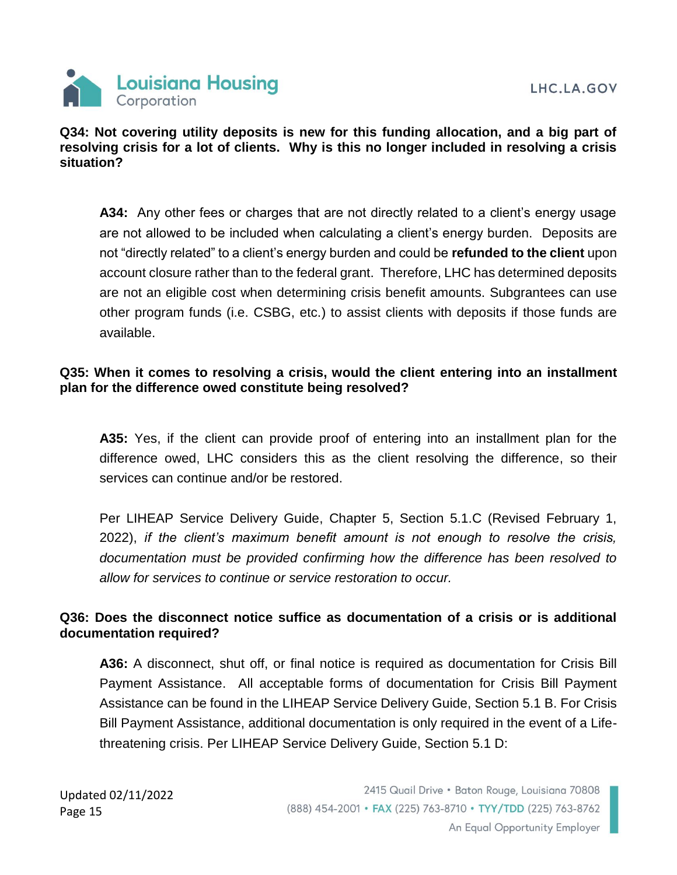

### **Q34: Not covering utility deposits is new for this funding allocation, and a big part of resolving crisis for a lot of clients. Why is this no longer included in resolving a crisis situation?**

**A34:** Any other fees or charges that are not directly related to a client's energy usage are not allowed to be included when calculating a client's energy burden. Deposits are not "directly related" to a client's energy burden and could be **refunded to the client** upon account closure rather than to the federal grant. Therefore, LHC has determined deposits are not an eligible cost when determining crisis benefit amounts. Subgrantees can use other program funds (i.e. CSBG, etc.) to assist clients with deposits if those funds are available.

### **Q35: When it comes to resolving a crisis, would the client entering into an installment plan for the difference owed constitute being resolved?**

**A35:** Yes, if the client can provide proof of entering into an installment plan for the difference owed, LHC considers this as the client resolving the difference, so their services can continue and/or be restored.

Per LIHEAP Service Delivery Guide, Chapter 5, Section 5.1.C (Revised February 1, 2022), *if the client's maximum benefit amount is not enough to resolve the crisis, documentation must be provided confirming how the difference has been resolved to allow for services to continue or service restoration to occur.*

### **Q36: Does the disconnect notice suffice as documentation of a crisis or is additional documentation required?**

**A36:** A disconnect, shut off, or final notice is required as documentation for Crisis Bill Payment Assistance. All acceptable forms of documentation for Crisis Bill Payment Assistance can be found in the LIHEAP Service Delivery Guide, Section 5.1 B. For Crisis Bill Payment Assistance, additional documentation is only required in the event of a Lifethreatening crisis. Per LIHEAP Service Delivery Guide, Section 5.1 D: